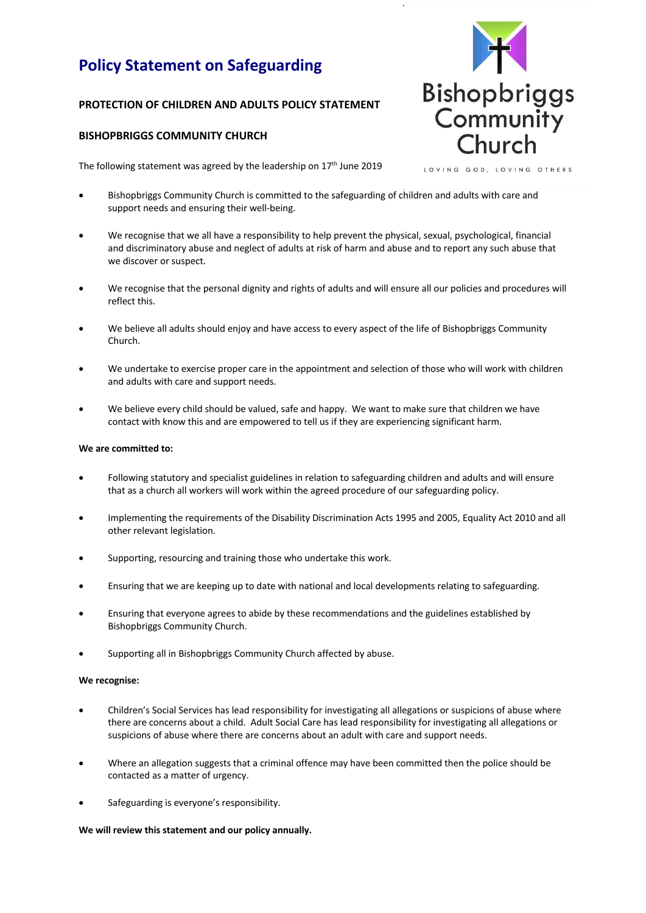# **Policy Statement on Safeguarding**

## **PROTECTION OF CHILDREN AND ADULTS POLICY STATEMENT**

### **BISHOPBRIGGS COMMUNITY CHURCH**

The following statement was agreed by the leadership on  $17<sup>th</sup>$  June 2019

- Bishopbriggs Community Church is committed to the safeguarding of children and adults with care and support needs and ensuring their well-being.
- We recognise that we all have a responsibility to help prevent the physical, sexual, psychological, financial and discriminatory abuse and neglect of adults at risk of harm and abuse and to report any such abuse that we discover or suspect.
- We recognise that the personal dignity and rights of adults and will ensure all our policies and procedures will reflect this.
- We believe all adults should enjoy and have access to every aspect of the life of Bishopbriggs Community Church.
- We undertake to exercise proper care in the appointment and selection of those who will work with children and adults with care and support needs.
- We believe every child should be valued, safe and happy. We want to make sure that children we have contact with know this and are empowered to tell us if they are experiencing significant harm.

#### **We are committed to:**

- Following statutory and specialist guidelines in relation to safeguarding children and adults and will ensure that as a church all workers will work within the agreed procedure of our safeguarding policy.
- Implementing the requirements of the Disability Discrimination Acts 1995 and 2005, Equality Act 2010 and all other relevant legislation.
- Supporting, resourcing and training those who undertake this work.
- Ensuring that we are keeping up to date with national and local developments relating to safeguarding.
- Ensuring that everyone agrees to abide by these recommendations and the guidelines established by Bishopbriggs Community Church.
- Supporting all in Bishopbriggs Community Church affected by abuse.

#### **We recognise:**

- Children's Social Services has lead responsibility for investigating all allegations or suspicions of abuse where there are concerns about a child. Adult Social Care has lead responsibility for investigating all allegations or suspicions of abuse where there are concerns about an adult with care and support needs.
- Where an allegation suggests that a criminal offence may have been committed then the police should be contacted as a matter of urgency.
- Safeguarding is everyone's responsibility.

#### **We will review this statement and our policy annually.**